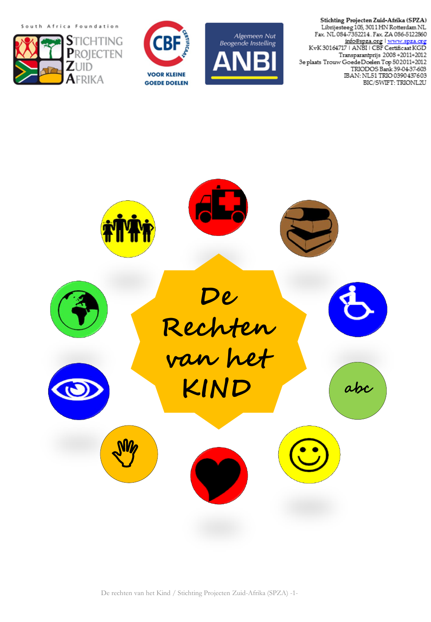South Africa Foundation







Stichting Projecten Zuid-Afrika (SPZA) Librijesteeg 105, 3011 HN Rotterdam NL Fax. NL 084-7352214. Fax. ZA 086-5122860 <u>info@spza.org</u> | www.spza.org<br>KvK 30164717 | ANBI | CBF Certificaat KGD Transparantprijs 2008+2011+2012 3e plaats Trouw GoedeDoelen Top 502011+2012 TRIODOS Bank 39-04-37-603<br>TRIODOS Bank 39-04-37-603<br>IBAN: NL51 TRIO 0390 437603 BIC/SWIFT: TRIONL2U



De rechten van het Kind / Stichting Projecten Zuid-Afrika (SPZA) -1-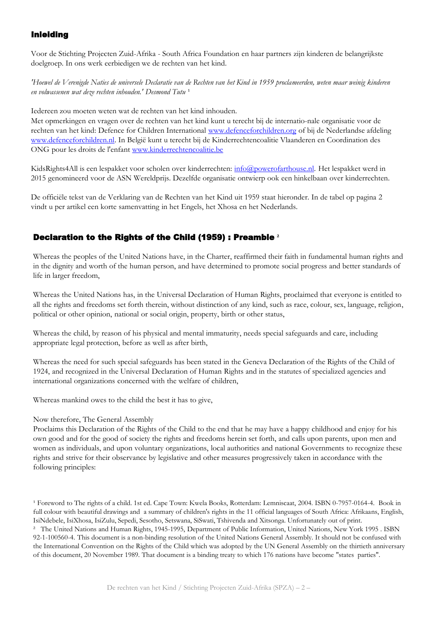## Inleiding

Voor de Stichting Projecten Zuid-Afrika - South Africa Foundation en haar partners zijn kinderen de belangrijkste doelgroep. In ons werk eerbiedigen we de rechten van het kind.

*'Hoewel de Verenigde Naties de universele Declaratie van de Rechten van het Kind in 1959 proclameerden, weten maar weinig kinderen*  en volwassenen wat deze rechten inhouden.' Desmond Tutu<sup>1</sup>

Iedereen zou moeten weten wat de rechten van het kind inhouden.

Met opmerkingen en vragen over de rechten van het kind kunt u terecht bij de internatio-nale organisatie voor de rechten van het kind: Defence for Children International [www.defenceforchildren.org](http://www.defenceforchildren.org/) of bij de Nederlandse afdeling [www.defenceforchildren.nl.](http://www.defenceforchildren.nl/) In België kunt u terecht bij de Kinderrechtencoalitie Vlaanderen en Coordination des ONG pour les droits de l'enfant [www.kinderrechtencoalitie.be](http://www.kinderrechtencoalitie.be/)

KidsRights4All is een lespakket voor scholen over kinderrechten: [info@powerofarthouse.nl.](mailto:info@powerofarthouse.nl) Het lespakket werd in 2015 genomineerd voor de ASN Wereldprijs. Dezelfde organisatie ontwierp ook een hinkelbaan over kinderrechten.

De officiële tekst van de Verklaring van de Rechten van het Kind uit 1959 staat hieronder. In de tabel op pagina 2 vindt u per artikel een korte samenvatting in het Engels, het Xhosa en het Nederlands.

## Declaration to the Rights of the Child (1959) : Preamble **²**

Whereas the peoples of the United Nations have, in the Charter, reaffirmed their faith in fundamental human rights and in the dignity and worth of the human person, and have determined to promote social progress and better standards of life in larger freedom,

Whereas the United Nations has, in the Universal Declaration of Human Rights, proclaimed that everyone is entitled to all the rights and freedoms set forth therein, without distinction of any kind, such as race, colour, sex, language, religion, political or other opinion, national or social origin, property, birth or other status,

Whereas the child, by reason of his physical and mental immaturity, needs special safeguards and care, including appropriate legal protection, before as well as after birth,

Whereas the need for such special safeguards has been stated in the Geneva Declaration of the Rights of the Child of 1924, and recognized in the Universal Declaration of Human Rights and in the statutes of specialized agencies and international organizations concerned with the welfare of children,

Whereas mankind owes to the child the best it has to give,

## Now therefore, The General Assembly

Proclaims this Declaration of the Rights of the Child to the end that he may have a happy childhood and enjoy for his own good and for the good of society the rights and freedoms herein set forth, and calls upon parents, upon men and women as individuals, and upon voluntary organizations, local authorities and national Governments to recognize these rights and strive for their observance by legislative and other measures progressively taken in accordance with the following principles:

<sup>&</sup>lt;sup>1</sup> Foreword to The rights of a child. 1st ed. Cape Town: Kwela Books, Rotterdam: Lemniscaat, 2004. ISBN 0-7957-0164-4. Book in full colour with beautiful drawings and a summary of children's rights in the 11 official languages of South Africa: Afrikaans, English, IsiNdebele, IsiXhosa, IsiZulu, Sepedi, Sesotho, Setswana, SiSwati, Tshivenda and Xitsonga. Unfortunately out of print.

² The United Nations and Human Rights, 1945-1995, Department of Public Information, United Nations, New York 1995 . ISBN 92-1-100560-4. This document is a non-binding resolution of the United Nations General Assembly. It should not be confused with the International Convention on the Rights of the Child which was adopted by the UN General Assembly on the thirtieth anniversary of this document, 20 November 1989. That document is a binding treaty to which 176 nations have become "states parties".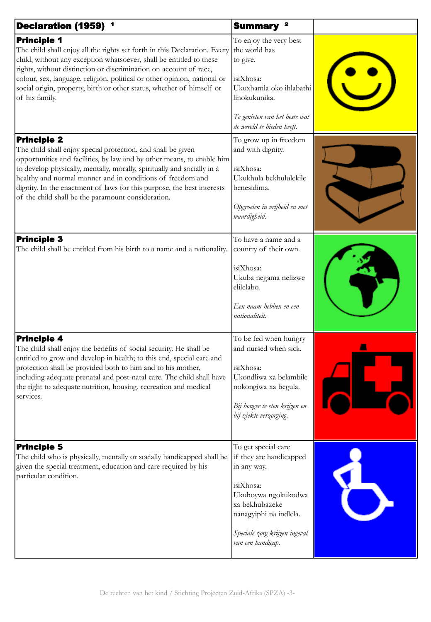| Declaration (1959) <sup>1</sup>                                                                                                                                                                                                                                                                                                                                                                                                       | Summary <sup>2</sup>                                                                                                                                                                                |  |
|---------------------------------------------------------------------------------------------------------------------------------------------------------------------------------------------------------------------------------------------------------------------------------------------------------------------------------------------------------------------------------------------------------------------------------------|-----------------------------------------------------------------------------------------------------------------------------------------------------------------------------------------------------|--|
| <b>Principle 1</b><br>The child shall enjoy all the rights set forth in this Declaration. Every<br>child, without any exception whatsoever, shall be entitled to these<br>rights, without distinction or discrimination on account of race,<br>colour, sex, language, religion, political or other opinion, national or<br>social origin, property, birth or other status, whether of himself or<br>of his family.                    | To enjoy the very best<br>the world has<br>to give.<br>isiXhosa:<br>Ukuxhamla oko ihlabathi<br>linokukunika.<br>Te genieten van het beste wat<br>de wereld te bieden heeft.                         |  |
| <b>Principle 2</b><br>The child shall enjoy special protection, and shall be given<br>opportunities and facilities, by law and by other means, to enable him<br>to develop physically, mentally, morally, spiritually and socially in a<br>healthy and normal manner and in conditions of freedom and<br>dignity. In the enactment of laws for this purpose, the best interests<br>of the child shall be the paramount consideration. | To grow up in freedom<br>and with dignity.<br>isiXhosa:<br>Ukukhula bekhululekile<br>benesidima.<br>Opgroeien in vrijheid en met<br>waardigheid.                                                    |  |
| <b>Principle 3</b><br>The child shall be entitled from his birth to a name and a nationality.                                                                                                                                                                                                                                                                                                                                         | To have a name and a<br>country of their own.<br>isiXhosa:<br>Ukuba negama nelizwe<br>elilelabo.<br>Een naam hebben en een<br>nationaliteit.                                                        |  |
| <b>Principle 4</b><br>The child shall enjoy the benefits of social security. He shall be<br>entitled to grow and develop in health; to this end, special care and<br>protection shall be provided both to him and to his mother,<br>including adequate prenatal and post-natal care. The child shall have<br>the right to adequate nutrition, housing, recreation and medical<br>services.                                            | To be fed when hungry<br>and nursed when sick.<br>isiXhosa:<br>Ukondliwa xa belambile<br>nokongiwa xa begula.<br>Bij honger te eten krijgen en<br>bij ziekte verzorging.                            |  |
| <b>Principle 5</b><br>The child who is physically, mentally or socially handicapped shall be<br>given the special treatment, education and care required by his<br>particular condition.                                                                                                                                                                                                                                              | To get special care<br>if they are handicapped<br>in any way.<br>isiXhosa:<br>Ukuhoywa ngokukodwa<br>xa bekhubazeke<br>nanagyiphi na indlela.<br>Speciale zorg krijgen ingeval<br>van een handicap. |  |